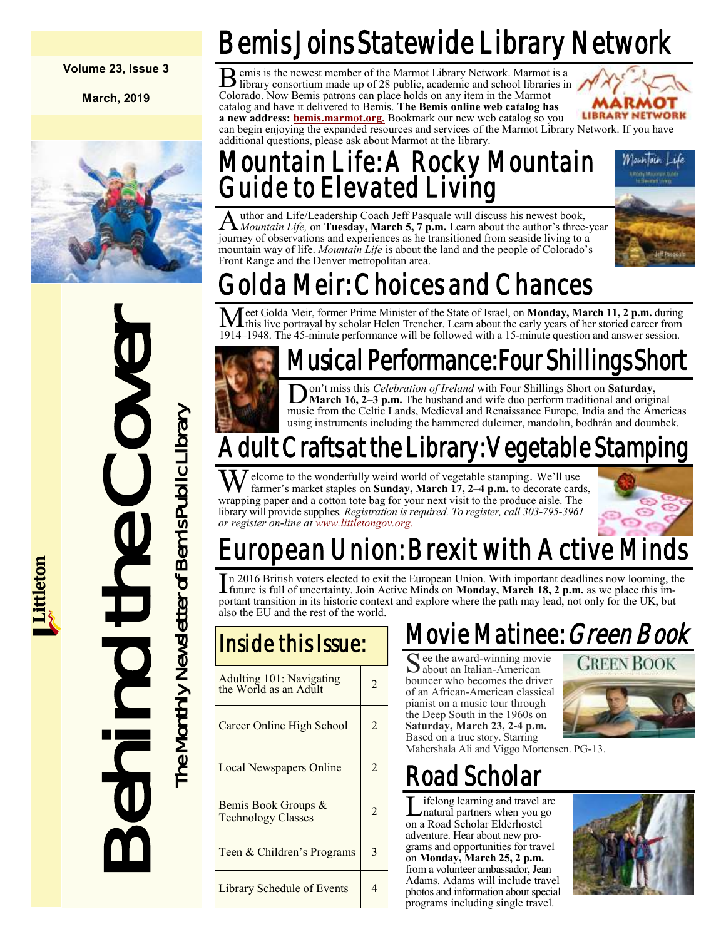### **Volume 23, Issue 3**

**March, 2019**



# Met Golda Meir, former Prin<br>
1914–1948. The 45-minute performed by column the performed by column the performed by the Month of Bemis Busines in the Cover The Cover Cover Cover Cover Cover Cover Cover Cover Cover Cover Co

Bemis Joins Statewide Library Network

B emis is the newest member of the Marmot Library Network. Marmot is a library consortium made up of 28 public, academic and school libraries in library consortium made up of 28 public, academic and school libraries in Colorado. Now Bemis patrons can place holds on any item in the Marmot catalog and have it delivered to Bemis. **The Bemis online web catalog has a new address: [bemis.marmot.org.](https://bemis.marmot.org/)** Bookmark our new web catalog so you



can begin enjoying the expanded resources and services of the Marmot Library Network. If you have additional questions, please ask about Marmot at the library.

# Mountain Life: A Rocky Mountain Guide to Elevated Living



### $\overline{\rm A}$ uthor and Life/Leadership Coach Jeff Pasquale will discuss his newest book, *Mountain Life,* on **Tuesday, March 5, 7 p.m.** Learn about the author's three-year journey of observations and experiences as he transitioned from seaside living to a mountain way of life. *Mountain Life* is about the land and the people of Colorado's Front Range and the Denver metropolitan area.

# Golda Meir: Choices and Chances

Meet Golda Meir, former Prime Minister of the State of Israel, on **Monday, March 11, 2 p.m.** during this live portrayal by scholar Helen Trencher. Learn about the early years of her storied career from 1914–1948. The 45-minute performance will be followed with a 15-minute question and answer session.

# Musical Performance: Four Shillings Short

D on't miss this *Celebration of Ireland* with Four Shillings Short on **Saturday, March 16, 2–3 p.m.** The husband and wife duo perform traditional and original music from the Celtic Lands, Medieval and Renaissance Europe, India and the Americas using instruments including the hammered dulcimer, mandolin, bodhrán and doumbek.

# Adult Crafts at the Library: Vegetable Stamping

Welcome to the wonderfully weird world of vegetable stamping. We'll use farmer's market staples on **Sunday, March 17, 2–4 p.m.** to decorate cards, wrapping paper and a cotton tote bag for your next visit to the produce aisle. The library will provide supplies*. Registration is required. To register, call 303-795-3961 or register on-line at [www.littletongov.org.](https://www.littletongov.org/city-services/city-departments/bemis-library/library-events-calendar/-selcat-3/-curm-3/-cury-2019)*



# European Union: Brexit with Active Minds

In 2016 British voters elected to exit the European Union. With important deadlines now looming, the future is full of uncertainty. Join Active Minds on **Monday, March 18, 2 p.m.** as we place this imn 2016 British voters elected to exit the European Union. With important deadlines now looming, the portant transition in its historic context and explore where the path may lead, not only for the UK, but also the EU and the rest of the world.

| Adulting 101: Navigating<br>the World as an Adult | 2              |
|---------------------------------------------------|----------------|
| Career Online High School                         | $\mathfrak{D}$ |
| Local Newspapers Online                           | $\mathfrak{D}$ |
| Bemis Book Groups &<br><b>Technology Classes</b>  | $\mathfrak{D}$ |
| Teen & Children's Programs                        | 3              |
| Library Schedule of Events                        |                |

# Movie Matinee: *Green Book*

See the award-winning movie<br>about an Italian-American about an Italian-American bouncer who becomes the driver of an African-American classical pianist on a music tour through the Deep South in the 1960s on **Saturday, March 23, 2-4 p.m.**  Based on a true story. Starring Mahershala Ali and Viggo Mortensen. PG-13.





# Road Scholar

L ifelong learning and travel are<br>matural partners when you go ifelong learning and travel are on a Road Scholar Elderhostel adventure. Hear about new programs and opportunities for travel on **Monday, March 25, 2 p.m.**  from a volunteer ambassador, Jean Adams. Adams will include travel photos and information about special programs including single travel.

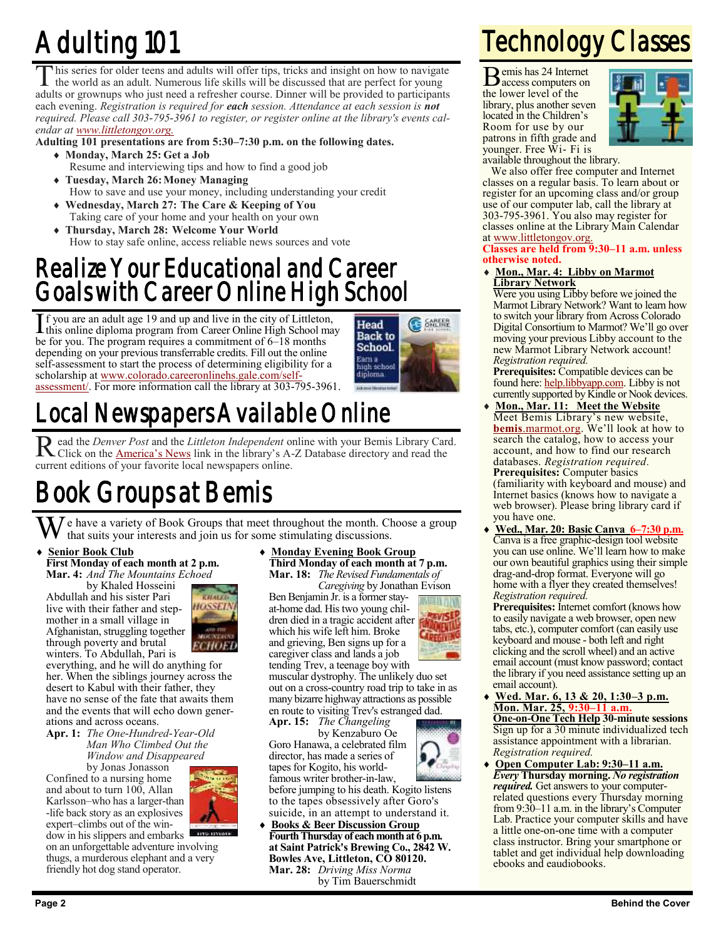# Adulting 101

T his series for older teens and adults will offer tips, tricks and insight on how to navigate the world as an adult. Numerous life skills will be discussed that are perfect for young adults or grownups who just need a refresher course. Dinner will be provided to participants each evening. *Registration is required for each session. Attendance at each session is not required. Please call 303-795-3961 to register, or register online at the library's events calendar at [www.littletongov.org.](https://www.littletongov.org/city-services/city-departments/bemis-library/library-events-calendar/-curm-3/-cury-2019)*

**Adulting 101 presentations are from 5:30–7:30 p.m. on the following dates.**

- **Monday, March 25: Get a Job** Resume and interviewing tips and how to find a good job
- **Tuesday, March 26:Money Managing** How to save and use your money, including understanding your credit
- **Wednesday, March 27: The Care & Keeping of You** Taking care of your home and your health on your own
- **Thursday, March 28: Welcome Your World** How to stay safe online, access reliable news sources and vote

# Realize Your Educational and Career Goals with Career Online High School

If you are an adult age 19 and up and live in the city of Littleton,<br>this online diploma program from Career Online High School ma this online diploma program from Career Online High School may be for you. The program requires a commitment of 6–18 months depending on your previous transferrable credits. Fill out the online self-assessment to start the process of determining eligibility for a scholarship at [www.colorado.careeronlinehs.gale.com/self](https://www.colorado.careeronlinehs.gale.com/self-assessment/)[assessment/.](https://www.colorado.careeronlinehs.gale.com/self-assessment/) For more information call the library at 303-795-3961.



# Local Newspapers Available Online

Read the *Denver Post* and the *Littleton Independent* online with your Bemis Library Card.<br>Click on the <u>America's News</u> link in the library's A-Z Database directory and read the Click on the **[America's News](https://bemis.libguides.com/az.php)** link in the library's A-Z Database directory and read the current editions of your favorite local newspapers online.

# Book Groups at Bemis

 $\bar{J}$  e have a variety of Book Groups that meet throughout the month. Choose a group that suits your interests and join us for some stimulating discussions.

### **Senior Book Club First Monday of each month at 2 p.m. Mar. 4:** *And The Mountains Echoed*

by Khaled Hosseini Abdullah and his sister Pari live with their father and stepmother in a small village in Afghanistan, struggling together through poverty and brutal winters. To Abdullah, Pari is



everything, and he will do anything for her. When the siblings journey across the desert to Kabul with their father, they have no sense of the fate that awaits them and the events that will echo down generations and across oceans.

**Apr. 1:** *The One-Hundred-Year-Old Man Who Climbed Out the Window and Disappeared*

by Jonas Jonasson Confined to a nursing home and about to turn  $100$ , Allan Karlsson–who has a larger-than -life back story as an explosives expert–climbs out of the win-



dow in his slippers and embarks on an unforgettable adventure involving thugs, a murderous elephant and a very friendly hot dog stand operator.

 **Monday Evening Book Group Third Monday of each month at 7 p.m. Mar. 18:** *The Revised Fundamentals of*

*Caregiving* by Jonathan Evison Ben Benjamin Jr. is a former stayat-home dad. His two young children died in a tragic accident after which his wife left him. Broke and grieving, Ben signs up for a

caregiver class and lands a job tending Trev, a teenage boy with muscular dystrophy. The unlikely duo set

JE 1

out on a cross-country road trip to take in as many bizarre highway attractions as possible en route to visiting Trev's estranged dad. **Apr. 15:** *The Changeling*

by Kenzaburo Oe Goro Hanawa, a celebrated film director, has made a series of tapes for Kogito, his world-

famous writer brother-in-law, before jumping to his death. Kogito listens to the tapes obsessively after Goro's suicide, in an attempt to understand it.

 **Books & Beer Discussion Group Fourth Thursday of each month at 6 p.m. at Saint Patrick's Brewing Co., 2842 W. Bowles Ave, Littleton, CO 80120. Mar. 28:** *Driving Miss Norma* by Tim Bauerschmidt

# Technology Classes

Bemis has 24 Internet access computers on the lower level of the library, plus another seven located in the Children's Room for use by our patrons in fifth grade and younger. Free Wi- Fi is



available throughout the library.

We also offer free computer and Internet classes on a regular basis. To learn about or register for an upcoming class and/or group use of our computer lab, call the library at 303-795-3961. You also may register for classes online at the Library Main Calendar at [www.littletongov.org.](https://www.littletongov.org/city-services/city-departments/bemis-library/library-events-calendar/-curm-3/-cury-2019/-selcat-157)

### **Classes are held from 9:30–11 a.m. unless otherwise noted.**

 **Mon., Mar. 4: Libby on Marmot Library Network**

Were you using Libby before we joined the Marmot Library Network? Want to learn how to switch your library from Across Colorado Digital Consortium to Marmot? We'll go over moving your previous Libby account to the new Marmot Library Network account! *Registration required.*

**Prerequisites:** Compatible devices can be found here: [help.libbyapp.com.](https://help.libbyapp.com/6105.htm) Libby is not currently supported by Kindle or Nook devices.

- **Mon., Mar. 11: Meet the Website** Meet Bemis Library's new website, **bemis**[.marmot.org.](https://bemis.marmot.org/) We'll look at how to search the catalog, how to access your account, and how to find our research databases. *Registration required.* **Prerequisites:** Computer basics (familiarity with keyboard and mouse) and Internet basics (knows how to navigate a web browser). Please bring library card if you have one.
- **Wed., Mar. 20: Basic Canva 6–7:30 p.m.** Canva is a free graphic-design tool website you can use online. We'll learn how to make our own beautiful graphics using their simple drag-and-drop format. Everyone will go home with a flyer they created themselves! *Registration required.*

**Prerequisites:** Internet comfort (knows how to easily navigate a web browser, open new tabs, etc.), computer comfort (can easily use keyboard and mouse - both left and right clicking and the scroll wheel) and an active email account (must know password; contact the library if you need assistance setting up an email account).

- **Wed. Mar. 6, 13 & 20, 1:30–3 p.m. Mon. Mar. 25, 9:30–11 a.m. One-on-One Tech Help 30-minute sessions** Sign up for a 30 minute individualized tech assistance appointment with a librarian. *Registration required.*
- **Open Computer Lab: 9:30–11 a.m.** *Every* **Thursday morning.** *No registration required.* Get answers to your computerrelated questions every Thursday morning from 9:30–11 a.m. in the library's Computer Lab. Practice your computer skills and have a little one-on-one time with a computer class instructor. Bring your smartphone or tablet and get individual help downloading ebooks and eaudiobooks.

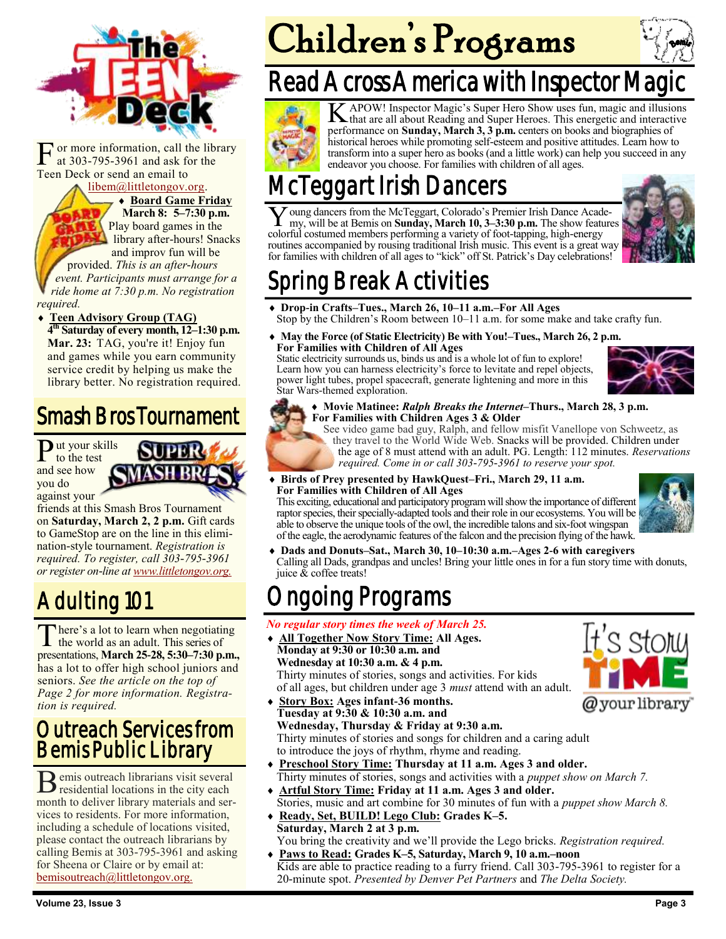

F or more information, call the library at 303-795-3961 and ask for the Teen Deck or send an email to

### [libem@littletongov.org.](mailto:libem@littletongov.org.)

 **Board Game Friday March 8: 5–7:30 p.m.** Play board games in the library after-hours! Snacks and improv fun will be

provided. *This is an after-hours event. Participants must arrange for a ride home at 7:30 p.m. No registration required.*

 **Teen Advisory Group (TAG) 4 th Saturday of every month, 12–1:30 p.m. Mar. 23:** TAG, you're it! Enjoy fun and games while you earn community service credit by helping us make the library better. No registration required.

# Smash Bros Tournament

Put your skills to the test and see how you do against your



friends at this Smash Bros Tournament on **Saturday, March 2, 2 p.m.** Gift cards to GameStop are on the line in this elimination-style tournament. *Registration is required. To register, call 303-795-3961 or register on-line at [www.littletongov.org.](https://www.littletongov.org/city-services/city-departments/bemis-library/library-events-calendar/-selcat-97/-curm-3/-cury-2019)*

# Adulting 101

There's a lot to learn when negotiatin<br>the world as an adult. This series of here's a lot to learn when negotiating presentations, **March 25-28, 5:30–7:30 p.m.,** has a lot to offer high school juniors and seniors. *See the article on the top of Page 2 for more information. Registration is required.*

## Outreach Services from Bemis Public Library

B emis outreach librarians visit several<br>residential locations in the city each emis outreach librarians visit several month to deliver library materials and services to residents. For more information, including a schedule of locations visited, please contact the outreach librarians by calling Bemis at 303-795-3961 and asking for Sheena or Claire or by email at: [bemisoutreach@littletongov.org.](mailto:bemisoutreach@littletongov.org)

# Children's Programs





K APOW! Inspector Magic's Super Hero Show uses fun, magic and illusions<br>that are all about Reading and Super Heroes. This energetic and interactive that are all about Reading and Super Heroes. This energetic and interactive performance on **Sunday, March 3, 3 p.m.** centers on books and biographies of historical heroes while promoting self-esteem and positive attitudes. Learn how to transform into a super hero as books (and a little work) can help you succeed in any endeavor you choose. For families with children of all ages.

# gart Irish Dancers

Y oung dancers from the McTeggart, Colorado's Premier Irish Dance Acade my, will be at Bemis on **Sunday, March 10, 3–3:30 p.m.** The show feature colorful costumed members performing a variety of foot-tapping, high-energy oung dancers from the McTeggart, Colorado's Premier Irish Dance Academy, will be at Bemis on **Sunday, March 10, 3–3:30 p.m.** The show features routines accompanied by rousing traditional Irish music. This event is a great way for families with children of all ages to "kick" off St. Patrick's Day celebrations!



# oring Break Activities

- **Drop-in Crafts–Tues., March 26, 10–11 a.m.–For All Ages** Stop by the Children's Room between 10–11 a.m. for some make and take crafty fun.
- **May the Force (of Static Electricity) Be with You!–Tues., March 26, 2 p.m. For Families with Children of All Ages**

Static electricity surrounds us, binds us and is a whole lot of fun to explore! Learn how you can harness electricity's force to levitate and repel objects, power light tubes, propel spacecraft, generate lightening and more in this Star Wars-themed exploration.



 **Movie Matinee:** *Ralph Breaks the Internet***–Thurs., March 28, 3 p.m. For Families with Children Ages 3 & Older**

See video game bad guy, Ralph, and fellow misfit Vanellope von Schweetz, as they travel to the World Wide Web. Snacks will be provided. Children under the age of 8 must attend with an adult. PG. Length: 112 minutes. *Reservations required. Come in or call 303-795-3961 to reserve your spot.*

 **Birds of Prey presented by HawkQuest–Fri., March 29, 11 a.m. For Families with Children of All Ages**

This exciting, educational and participatory program will show the importance of different raptor species, their specially-adapted tools and their role in our ecosystems. You will be able to observe the unique tools of the owl, the incredible talons and six-foot wingspan of the eagle, the aerodynamic features of the falcon and the precision flying of the hawk.



 $C$   $C$   $f$   $\cap$   $h$ 

 **Dads and Donuts–Sat., March 30, 10–10:30 a.m.–Ages 2-6 with caregivers** Calling all Dads, grandpas and uncles! Bring your little ones in for a fun story time with donuts, juice  $\&$  coffee treats!

# oing Programs

### *No regular story times the week of March 25.*

- **All Together Now Story Time: All Ages. Monday at 9:30 or 10:30 a.m. and Wednesday at 10:30 a.m. & 4 p.m.** Thirty minutes of stories, songs and activities. For kids of all ages, but children under age 3 *must* attend with an adult.
- **Story Box: Ages infant-36 months.** @your library **Tuesday at 9:30 & 10:30 a.m. and Wednesday, Thursday & Friday at 9:30 a.m.** Thirty minutes of stories and songs for children and a caring adult to introduce the joys of rhythm, rhyme and reading.
- **Preschool Story Time: Thursday at 11 a.m. Ages 3 and older.** Thirty minutes of stories, songs and activities with a *puppet show on March 7.*
- **Artful Story Time: Friday at 11 a.m. Ages 3 and older.** Stories, music and art combine for 30 minutes of fun with a *puppet show March 8.*
- **Ready, Set, BUILD! Lego Club: Grades K–5. Saturday, March 2 at 3 p.m.** You bring the creativity and we'll provide the Lego bricks. *Registration required.*
- **Paws to Read: Grades K–5, Saturday, March 9, 10 a.m.–noon** Kids are able to practice reading to a furry friend. Call 303-795-3961 to register for a 20-minute spot. *Presented by Denver Pet Partners* and *The Delta Society.*